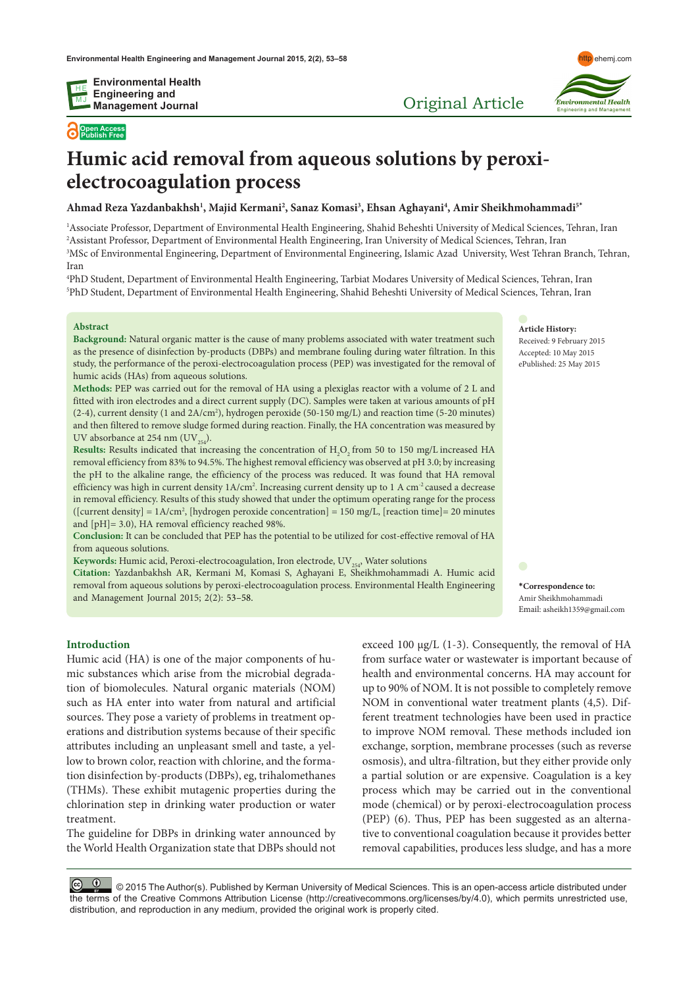**Open Access Publish Free**



Original Article

# **Humic acid removal from aqueous solutions by peroxielectrocoagulation process**

**Ahmad Reza Yazdanbakhsh1 , Majid Kermani2 , Sanaz Komasi3 , Ehsan Aghayani4 , Amir Sheikhmohammadi5\***

<sup>1</sup>Associate Professor, Department of Environmental Health Engineering, Shahid Beheshti University of Medical Sciences, Tehran, Iran 2 Assistant Professor, Department of Environmental Health Engineering, Iran University of Medical Sciences, Tehran, Iran 3 MSc of Environmental Engineering, Department of Environmental Engineering, Islamic Azad University, West Tehran Branch, Tehran, Iran

4 PhD Student, Department of Environmental Health Engineering, Tarbiat Modares University of Medical Sciences, Tehran, Iran 5 PhD Student, Department of Environmental Health Engineering, Shahid Beheshti University of Medical Sciences, Tehran, Iran

# **Abstract**

**Background:** Natural organic matter is the cause of many problems associated with water treatment such as the presence of disinfection by-products (DBPs) and membrane fouling during water filtration. In this study, the performance of the peroxi-electrocoagulation process (PEP) was investigated for the removal of humic acids (HAs) from aqueous solutions.

**Methods:** PEP was carried out for the removal of HA using a plexiglas reactor with a volume of 2 L and fitted with iron electrodes and a direct current supply (DC). Samples were taken at various amounts of pH (2-4), current density (1 and 2A/cm2 ), hydrogen peroxide (50-150 mg/L) and reaction time (5-20 minutes) and then filtered to remove sludge formed during reaction. Finally, the HA concentration was measured by UV absorbance at 254 nm  $(UV_{254})$ .

**Results:** Results indicated that increasing the concentration of  $H_2O_2$  from 50 to 150 mg/L increased HA removal efficiency from 83% to 94.5%. The highest removal efficiency was observed at pH 3.0; by increasing the pH to the alkaline range, the efficiency of the process was reduced. It was found that HA removal efficiency was high in current density  $1A/cm^2$ . Increasing current density up to  $1A/cm^2$  caused a decrease in removal efficiency. Results of this study showed that under the optimum operating range for the process ([current density] = 1A/cm2 , [hydrogen peroxide concentration] = 150 mg/L, [reaction time]= 20 minutes and [pH]= 3.0), HA removal efficiency reached 98%.

**Conclusion:** It can be concluded that PEP has the potential to be utilized for cost-effective removal of HA from aqueous solutions.

Keywords: Humic acid, Peroxi-electrocoagulation, Iron electrode, UV<sub>254</sub>, Water solutions

**Citation:** Yazdanbakhsh AR, Kermani M, Komasi S, Aghayani E, Sheikhmohammadi A. Humic acid removal from aqueous solutions by peroxi-electrocoagulation process. Environmental Health Engineering and Management Journal 2015; 2(2): 53–58.

**Article History:** Received: 9 February 2015 Accepted: 10 May 2015 ePublished: 25 May 2015

**\*Correspondence to:** Amir Sheikhmohammadi Email: asheikh1359@gmail.com

#### **Introduction**

Humic acid (HA) is one of the major components of humic substances which arise from the microbial degradation of biomolecules. Natural organic materials (NOM) such as HA enter into water from natural and artificial sources. They pose a variety of problems in treatment operations and distribution systems because of their specific attributes including an unpleasant smell and taste, a yellow to brown color, reaction with chlorine, and the formation disinfection by-products (DBPs), eg, trihalomethanes (THMs). These exhibit mutagenic properties during the chlorination step in drinking water production or water treatment.

The guideline for DBPs in drinking water announced by the World Health Organization state that DBPs should not exceed 100  $\mu$ g/L (1-3). Consequently, the removal of HA from surface water or wastewater is important because of health and environmental concerns. HA may account for up to 90% of NOM. It is not possible to completely remove NOM in conventional water treatment plants (4,5). Different treatment technologies have been used in practice to improve NOM removal. These methods included ion exchange, sorption, membrane processes (such as reverse osmosis), and ultra-filtration, but they either provide only a partial solution or are expensive. Coagulation is a key process which may be carried out in the conventional mode (chemical) or by peroxi-electrocoagulation process (PEP) (6). Thus, PEP has been suggested as an alternative to conventional coagulation because it provides better removal capabilities, produces less sludge, and has a more

© © © 2015 The Author(s). Published by Kerman University of Medical Sciences. This is an open-access article distributed under the terms of the Creative Commons Attribution License (http://creativecommons.org/licenses/by/4.0), which permits unrestricted use, distribution, and reproduction in any medium, provided the original work is properly cited.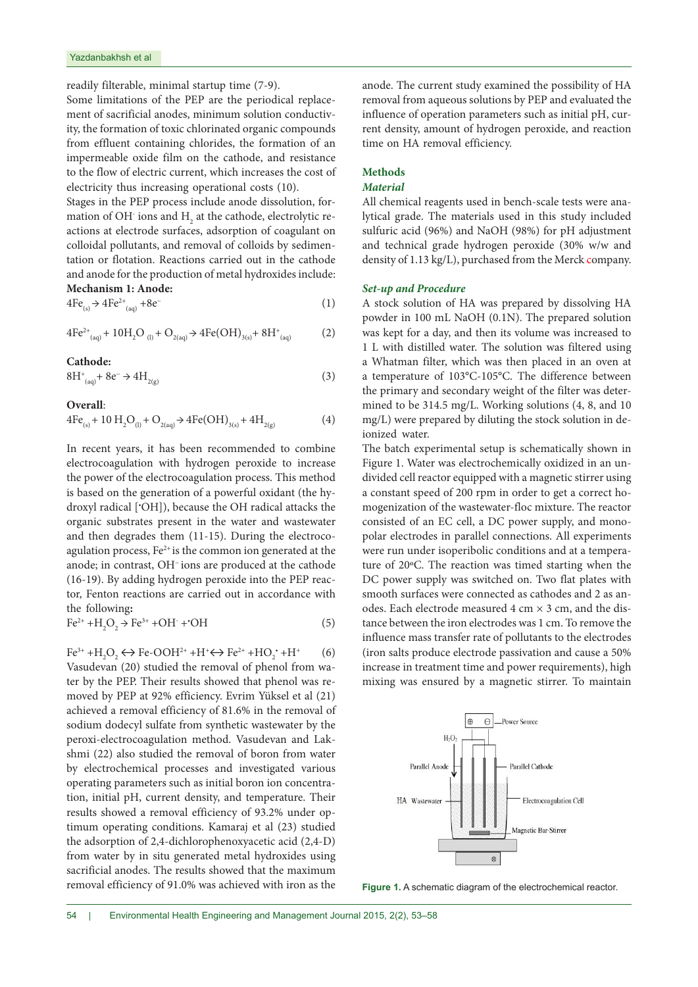readily filterable, minimal startup time (7-9).

Some limitations of the PEP are the periodical replacement of sacrificial anodes, minimum solution conductivity, the formation of toxic chlorinated organic compounds from effluent containing chlorides, the formation of an impermeable oxide film on the cathode, and resistance to the flow of electric current, which increases the cost of electricity thus increasing operational costs (10).

Stages in the PEP process include anode dissolution, formation of OH $\,$  ions and  $\rm H_{_2}$  at the cathode, electrolytic reactions at electrode surfaces, adsorption of coagulant on colloidal pollutants, and removal of colloids by sedimentation or flotation. Reactions carried out in the cathode and anode for the production of metal hydroxides include: **Mechanism 1: Anode:**

$$
4\text{Fe}_{(s)} \rightarrow 4\text{Fe}^{2+}{}_{(aq)} + 8\text{e}^{-}
$$
 (1)

$$
4Fe^{2+}_{(aq)} + 10H_2O_{(l)} + O_{2(aq)} \rightarrow 4Fe(OH)_{3(s)} + 8H^+_{(aq)}
$$
 (2)

**Cathode:**

$$
8H^*_{(aq)} + 8e^- \to 4H_{2(g)} \tag{3}
$$

# **Overall**:

$$
4Fe_{(s)} + 10 H_2O_{(l)} + O_{2(aq)} \rightarrow 4Fe(OH)_{3(s)} + 4H_{2(g)}
$$
(4)

In recent years, it has been recommended to combine electrocoagulation with hydrogen peroxide to increase the power of the electrocoagulation process. This method is based on the generation of a powerful oxidant (the hydroxyl radical [• OH]), because the OH radical attacks the organic substrates present in the water and wastewater and then degrades them (11-15). During the electrocoagulation process, Fe<sup>2+</sup> is the common ion generated at the anode; in contrast, OH− ions are produced at the cathode (16-19). By adding hydrogen peroxide into the PEP reactor, Fenton reactions are carried out in accordance with the following**:**

$$
\text{Fe}^{2+} + \text{H}_2\text{O}_2 \rightarrow \text{Fe}^{3+} + \text{OH}^+ + \text{OH}^+ \tag{5}
$$

 $Fe^{3+} + H_2O_2 \leftrightarrow Fe-OOH^{2+} + H^+ \leftrightarrow Fe^{2+} + HO_2^+ + H^+$  (6) Vasudevan (20) studied the removal of phenol from water by the PEP. Their results showed that phenol was removed by PEP at 92% efficiency. Evrim Yüksel et al (21) achieved a removal efficiency of 81.6% in the removal of sodium dodecyl sulfate from synthetic wastewater by the peroxi-electrocoagulation method. Vasudevan and Lakshmi (22) also studied the removal of boron from water by electrochemical processes and investigated various operating parameters such as initial boron ion concentration, initial pH, current density, and temperature. Their results showed a removal efficiency of 93.2% under optimum operating conditions. Kamaraj et al (23) studied the adsorption of 2,4-dichlorophenoxyacetic acid (2,4-D) from water by in situ generated metal hydroxides using sacrificial anodes. The results showed that the maximum removal efficiency of 91.0% was achieved with iron as the

anode. The current study examined the possibility of HA removal from aqueous solutions by PEP and evaluated the influence of operation parameters such as initial pH, current density, amount of hydrogen peroxide, and reaction time on HA removal efficiency.

# **Methods**

# *Material*

All chemical reagents used in bench-scale tests were analytical grade. The materials used in this study included sulfuric acid (96%) and NaOH (98%) for pH adjustment and technical grade hydrogen peroxide (30% w/w and density of 1.13 kg/L), purchased from the Merck company.

# *Set-up and Procedure*

A stock solution of HA was prepared by dissolving HA powder in 100 mL NaOH (0.1N). The prepared solution was kept for a day, and then its volume was increased to 1 L with distilled water. The solution was filtered using a Whatman filter, which was then placed in an oven at a temperature of 103°C-105°C. The difference between the primary and secondary weight of the filter was determined to be 314.5 mg/L. Working solutions (4, 8, and 10 mg/L) were prepared by diluting the stock solution in deionized water.

The batch experimental setup is schematically shown in Figure 1. Water was electrochemically oxidized in an undivided cell reactor equipped with a magnetic stirrer using a constant speed of 200 rpm in order to get a correct homogenization of the wastewater-floc mixture. The reactor consisted of an EC cell, a DC power supply, and monopolar electrodes in parallel connections. All experiments were run under isoperibolic conditions and at a temperature of 20ºC. The reaction was timed starting when the DC power supply was switched on. Two flat plates with smooth surfaces were connected as cathodes and 2 as anodes. Each electrode measured 4 cm  $\times$  3 cm, and the distance between the iron electrodes was 1 cm. To remove the influence mass transfer rate of pollutants to the electrodes (iron salts produce electrode passivation and cause a 50% increase in treatment time and power requirements), high mixing was ensured by a magnetic stirrer. To maintain



**Figure 1.** A schematic diagram of the electrochemical reactor.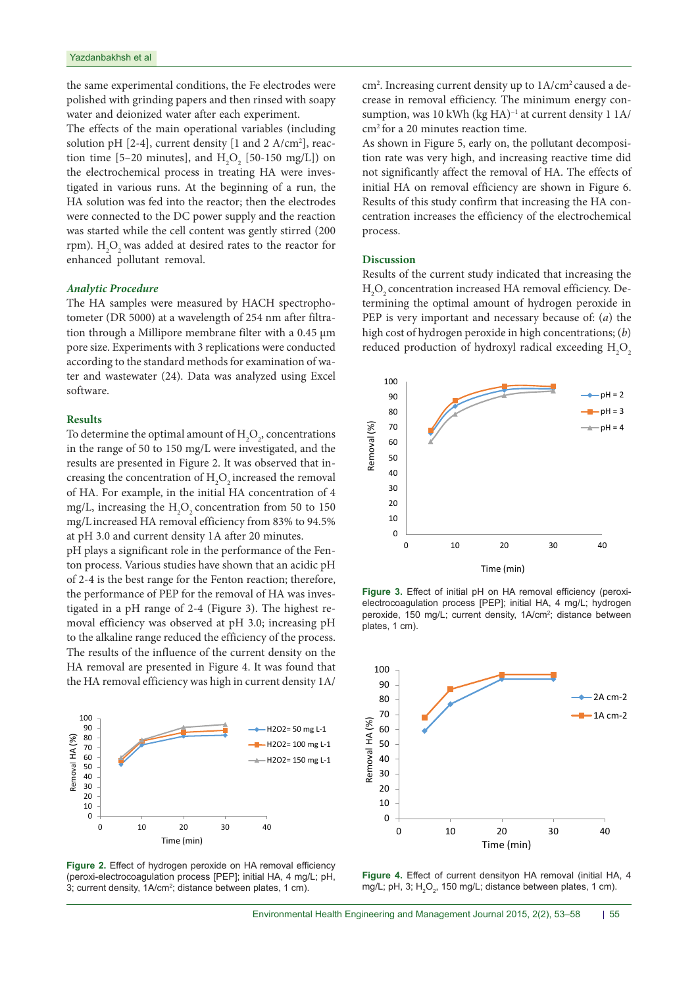the same experimental conditions, the Fe electrodes were polished with grinding papers and then rinsed with soapy water and deionized water after each experiment.

The effects of the main operational variables (including solution pH [2-4], current density [1 and 2 A/cm2 ], reaction time [5–20 minutes], and  $H_2O_2$  [50-150 mg/L]) on the electrochemical process in treating HA were investigated in various runs. At the beginning of a run, the HA solution was fed into the reactor; then the electrodes were connected to the DC power supply and the reaction was started while the cell content was gently stirred (200 rpm).  $\mathrm{H}_\mathrm{2}\mathrm{O}_\mathrm{2}$  was added at desired rates to the reactor for enhanced pollutant removal.

## *Analytic Procedure*

The HA samples were measured by HACH spectrophotometer (DR 5000) at a wavelength of 254 nm after filtration through a Millipore membrane filter with a 0.45 µm pore size. Experiments with 3 replications were conducted according to the standard methods for examination of water and wastewater (24). Data was analyzed using Excel software.

#### **Results**

To determine the optimal amount of  $\mathrm{H}_{2}\mathrm{O}_{2}$ , concentrations in the range of 50 to 150 mg/L were investigated, and the results are presented in Figure 2. It was observed that increasing the concentration of  $\rm{H_{2}O_{2}}$  increased the removal of HA. For example, in the initial HA concentration of 4 mg/L, increasing the  $H_2O_2$  concentration from 50 to 150 mg/Lincreased HA removal efficiency from 83% to 94.5% at pH 3.0 and current density 1A after 20 minutes.

pH plays a significant role in the performance of the Fenton process. Various studies have shown that an acidic pH of 2-4 is the best range for the Fenton reaction; therefore, the performance of PEP for the removal of HA was investigated in a pH range of 2-4 (Figure 3). The highest removal efficiency was observed at pH 3.0; increasing pH to the alkaline range reduced the efficiency of the process. The results of the influence of the current density on the HA removal are presented in Figure 4. It was found that the HA removal efficiency was high in current density 1A/



**Figure 2.** Effect of hydrogen peroxide on HA removal efficiency (peroxi-electrocoagulation process [PEP]; initial HA, 4 mg/L; pH, 3; current density, 1A/cm<sup>2</sup>; distance between plates, 1 cm).

cm<sup>2</sup>. Increasing current density up to 1A/cm<sup>2</sup> caused a decrease in removal efficiency. The minimum energy consumption, was 10 kWh (kg HA)<sup>-1</sup> at current density 1 1A/ cm2 for a 20 minutes reaction time.

As shown in Figure 5, early on, the pollutant decomposition rate was very high, and increasing reactive time did not significantly affect the removal of HA. The effects of initial HA on removal efficiency are shown in Figure 6. Results of this study confirm that increasing the HA concentration increases the efficiency of the electrochemical process.

#### **Discussion**

Results of the current study indicated that increasing the  $\rm H_2O_2$  concentration increased HA removal efficiency. Determining the optimal amount of hydrogen peroxide in PEP is very important and necessary because of: (*a*) the high cost of hydrogen peroxide in high concentrations; (*b*) reduced production of hydroxyl radical exceeding  $\mathrm{H}_{2}\mathrm{O}_{2}$ 



**Figure 3.** Effect of initial pH on HA removal efficiency (peroxielectrocoagulation process [PEP]; initial HA, 4 mg/L; hydrogen peroxide, 150 mg/L; current density, 1A/cm<sup>2</sup>; distance between plates, 1 cm).



**Figure 4.** Effect of current densityon HA removal (initial HA, 4 mg/L; pH, 3;  $H_2O_2$ , 150 mg/L; distance between plates, 1 cm).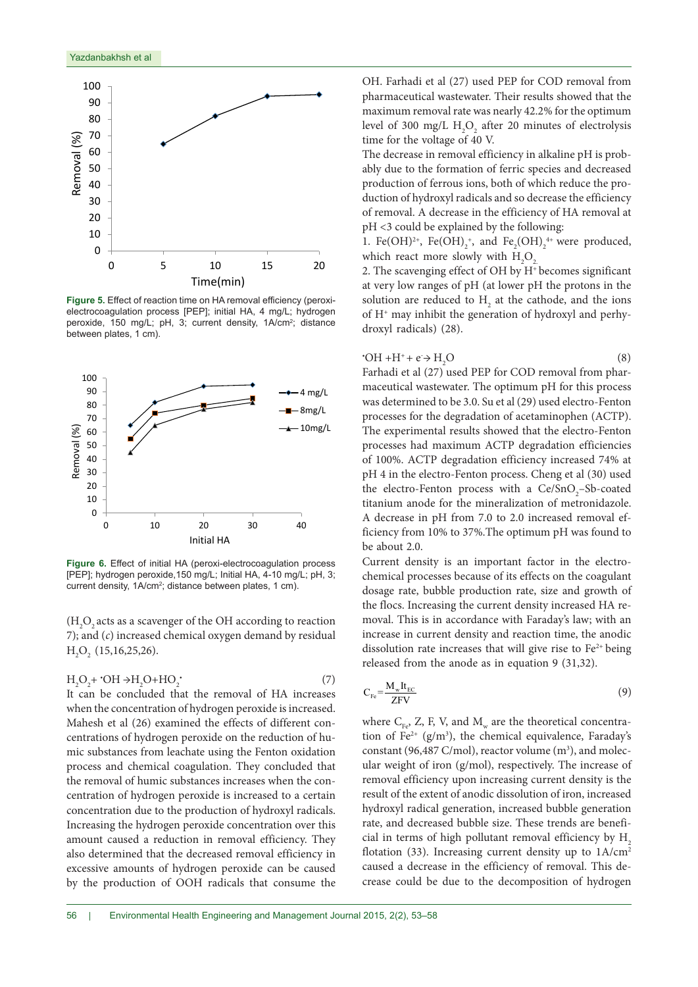

**Figure 5.** Effect of reaction time on HA removal efficiency (peroxielectrocoagulation process [PEP]; initial HA, 4 mg/L; hydrogen peroxide, 150 mg/L; pH, 3; current density, 1A/cm<sup>2</sup>; distance between plates, 1 cm).



**Figure 6.** Effect of initial HA (peroxi-electrocoagulation process [PEP]; hydrogen peroxide,150 mg/L; Initial HA, 4-10 mg/L; pH, 3; current density, 1A/cm<sup>2</sup>; distance between plates, 1 cm).

 $\rm (H_2O_2$  acts as a scavenger of the OH according to reaction 7); and (*c*) increased chemical oxygen demand by residual  $H_2O_2$  (15,16,25,26).

$$
H_2O_2 + \cdot OH \rightarrow H_2O + HO_2 \cdot (7)
$$

It can be concluded that the removal of HA increases when the concentration of hydrogen peroxide is increased. Mahesh et al (26) examined the effects of different concentrations of hydrogen peroxide on the reduction of humic substances from leachate using the Fenton oxidation process and chemical coagulation. They concluded that the removal of humic substances increases when the concentration of hydrogen peroxide is increased to a certain concentration due to the production of hydroxyl radicals. Increasing the hydrogen peroxide concentration over this amount caused a reduction in removal efficiency. They also determined that the decreased removal efficiency in excessive amounts of hydrogen peroxide can be caused by the production of OOH radicals that consume the

OH. Farhadi et al (27) used PEP for COD removal from pharmaceutical wastewater. Their results showed that the maximum removal rate was nearly 42.2% for the optimum level of 300 mg/L  $H_2O_2$  after 20 minutes of electrolysis time for the voltage of 40 V.

The decrease in removal efficiency in alkaline pH is probably due to the formation of ferric species and decreased production of ferrous ions, both of which reduce the production of hydroxyl radicals and so decrease the efficiency of removal. A decrease in the efficiency of HA removal at pH <3 could be explained by the following:

1. Fe(OH)<sup>2+</sup>, Fe(OH)<sub>2</sub><sup>+</sup>, and Fe<sub>2</sub>(OH)<sub>2</sub><sup>++</sup> were produced, which react more slowly with  $H_2O_2$ 

2. The scavenging effect of OH by H+ becomes significant at very low ranges of pH (at lower pH the protons in the solution are reduced to  $H_2$  at the cathode, and the ions of H+ may inhibit the generation of hydroxyl and perhydroxyl radicals) (28).

$$
OH + H^+ + e \rightarrow H_2O
$$
 (8)

Farhadi et al (27) used PEP for COD removal from pharmaceutical wastewater. The optimum pH for this process was determined to be 3.0. Su et al (29) used electro-Fenton processes for the degradation of acetaminophen (ACTP). The experimental results showed that the electro-Fenton processes had maximum ACTP degradation efficiencies of 100%. ACTP degradation efficiency increased 74% at pH 4 in the electro-Fenton process. Cheng et al (30) used the electro-Fenton process with a  $Ce/SnO<sub>2</sub> - Sb$ -coated titanium anode for the mineralization of metronidazole. A decrease in pH from 7.0 to 2.0 increased removal efficiency from 10% to 37%.The optimum pH was found to be about 2.0.

Current density is an important factor in the electrochemical processes because of its effects on the coagulant dosage rate, bubble production rate, size and growth of the flocs. Increasing the current density increased HA removal. This is in accordance with Faraday's law; with an increase in current density and reaction time, the anodic dissolution rate increases that will give rise to  $Fe<sup>2+</sup>$  being released from the anode as in equation 9 (31,32).

$$
C_{\rm Fe} = \frac{M_{\rm w} I t_{\rm EC}}{ZFV} \tag{9}
$$

where  $C_{F_{\text{F}}}, Z, F, V$ , and  $M_{w}$  are the theoretical concentration of  $Fe^{2+}$  (g/m<sup>3</sup>), the chemical equivalence, Faraday's constant (96,487 C/mol), reactor volume  $(m^3)$ , and molecular weight of iron (g/mol), respectively. The increase of removal efficiency upon increasing current density is the result of the extent of anodic dissolution of iron, increased hydroxyl radical generation, increased bubble generation rate, and decreased bubble size. These trends are beneficial in terms of high pollutant removal efficiency by  $H<sub>2</sub>$ flotation (33). Increasing current density up to  $1A/cm<sup>2</sup>$ caused a decrease in the efficiency of removal. This decrease could be due to the decomposition of hydrogen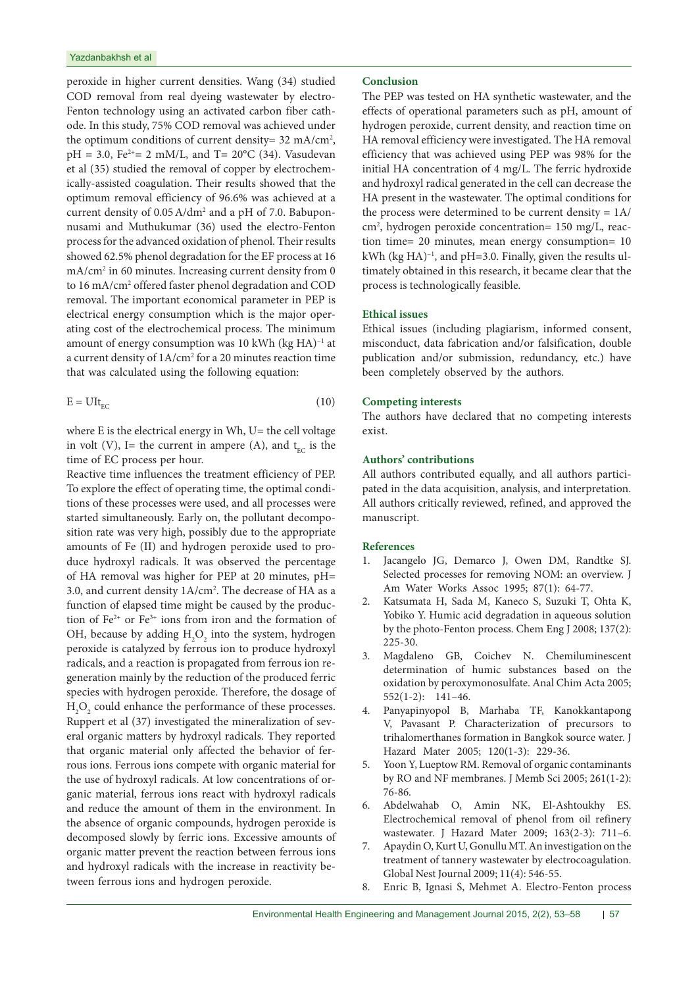peroxide in higher current densities. Wang (34) studied COD removal from real dyeing wastewater by electro-Fenton technology using an activated carbon fiber cathode. In this study, 75% COD removal was achieved under the optimum conditions of current density= 32 mA/cm<sup>2</sup>,  $pH = 3.0$ , Fe<sup>2+</sup>= 2 mM/L, and T= 20°C (34). Vasudevan et al (35) studied the removal of copper by electrochemically-assisted coagulation. Their results showed that the optimum removal efficiency of 96.6% was achieved at a current density of 0.05A/dm2 and a pH of 7.0. Babuponnusami and Muthukumar (36) used the electro-Fenton process for the advanced oxidation of phenol. Their results showed 62.5% phenol degradation for the EF process at 16 mA/cm<sup>2</sup> in 60 minutes. Increasing current density from 0 to 16 mA/cm<sup>2</sup> offered faster phenol degradation and COD removal. The important economical parameter in PEP is electrical energy consumption which is the major operating cost of the electrochemical process. The minimum amount of energy consumption was 10 kWh (kg HA)−1 at a current density of  $1\text{A/cm}^2$  for a 20 minutes reaction time that was calculated using the following equation:

$$
E = UItEC
$$
 (10)

where  $E$  is the electrical energy in Wh,  $U=$  the cell voltage in volt (V), I= the current in ampere (A), and  $t_{EC}$  is the time of EC process per hour.

Reactive time influences the treatment efficiency of PEP. To explore the effect of operating time, the optimal conditions of these processes were used, and all processes were started simultaneously. Early on, the pollutant decomposition rate was very high, possibly due to the appropriate amounts of Fe (II) and hydrogen peroxide used to produce hydroxyl radicals. It was observed the percentage of HA removal was higher for PEP at 20 minutes, pH= 3.0, and current density 1A/cm2 . The decrease of HA as a function of elapsed time might be caused by the production of Fe2+ or Fe3+ ions from iron and the formation of OH, because by adding  $H_2O_2$  into the system, hydrogen peroxide is catalyzed by ferrous ion to produce hydroxyl radicals, and a reaction is propagated from ferrous ion regeneration mainly by the reduction of the produced ferric species with hydrogen peroxide. Therefore, the dosage of  $H_2O_2$  could enhance the performance of these processes. Ruppert et al (37) investigated the mineralization of several organic matters by hydroxyl radicals. They reported that organic material only affected the behavior of ferrous ions. Ferrous ions compete with organic material for the use of hydroxyl radicals. At low concentrations of organic material, ferrous ions react with hydroxyl radicals and reduce the amount of them in the environment. In the absence of organic compounds, hydrogen peroxide is decomposed slowly by ferric ions. Excessive amounts of organic matter prevent the reaction between ferrous ions and hydroxyl radicals with the increase in reactivity between ferrous ions and hydrogen peroxide.

# **Conclusion**

The PEP was tested on HA synthetic wastewater, and the effects of operational parameters such as pH, amount of hydrogen peroxide, current density, and reaction time on HA removal efficiency were investigated. The HA removal efficiency that was achieved using PEP was 98% for the initial HA concentration of 4 mg/L. The ferric hydroxide and hydroxyl radical generated in the cell can decrease the HA present in the wastewater. The optimal conditions for the process were determined to be current density = 1A/ cm2 , hydrogen peroxide concentration= 150 mg/L, reaction time= 20 minutes, mean energy consumption= 10 kWh (kg HA)−1, and pH=3.0. Finally, given the results ultimately obtained in this research, it became clear that the process is technologically feasible.

# **Ethical issues**

Ethical issues (including plagiarism, informed consent, misconduct, data fabrication and/or falsification, double publication and/or submission, redundancy, etc.) have been completely observed by the authors.

#### **Competing interests**

The authors have declared that no competing interests exist.

# **Authors' contributions**

All authors contributed equally, and all authors participated in the data acquisition, analysis, and interpretation. All authors critically reviewed, refined, and approved the manuscript.

# **References**

- 1. Jacangelo JG, Demarco J, Owen DM, Randtke SJ. Selected processes for removing NOM: an overview. J Am Water Works Assoc 1995; 87(1): 64-77.
- 2. Katsumata H, Sada M, Kaneco S, Suzuki T, Ohta K, Yobiko Y. Humic acid degradation in aqueous solution by the photo-Fenton process. Chem Eng J 2008; 137(2): 225-30.
- 3. Magdaleno GB, Coichev N. Chemiluminescent determination of humic substances based on the oxidation by peroxymonosulfate. Anal Chim Acta 2005; 552(1-2): 141–46.
- 4. Panyapinyopol B, Marhaba TF, Kanokkantapong V, Pavasant P. Characterization of precursors to trihalomerthanes formation in Bangkok source water. J Hazard Mater 2005; 120(1-3): 229-36.
- 5. Yoon Y, Lueptow RM. Removal of organic contaminants by RO and NF membranes. J Memb Sci 2005; 261(1-2): 76-86.
- 6. Abdelwahab O, Amin NK, El-Ashtoukhy ES. Electrochemical removal of phenol from oil refinery wastewater. J Hazard Mater 2009; 163(2-3): 711–6.
- 7. Apaydin O, Kurt U, Gonullu MT. An investigation on the treatment of tannery wastewater by electrocoagulation. Global Nest Journal 2009; 11(4): 546-55.
- 8. Enric B, Ignasi S, Mehmet A. Electro-Fenton process